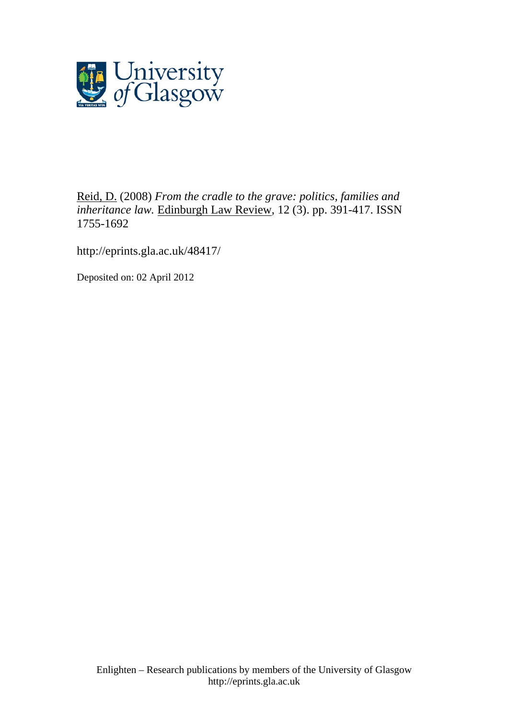

[Reid, D.](http://eprints.gla.ac.uk/view/author/15976.html) (2008) *From the cradle to the grave: politics, families and inheritance law.* [Edinburgh Law Review](http://eprints.gla.ac.uk/view/journal_volume/Edinburgh_Law_Review.html), 12 (3). pp. 391-417. ISSN 1755-1692

<http://eprints.gla.ac.uk/48417/>

Deposited on: 02 April 2012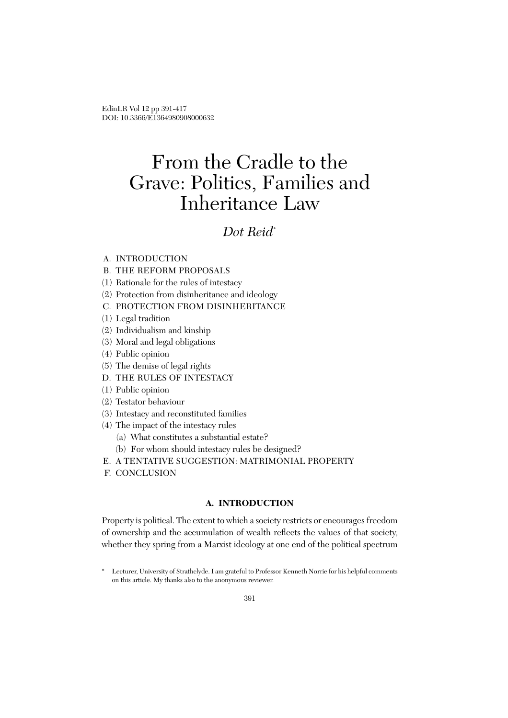EdinLR Vol 12 pp 391-417 DOI: 10.3366/E1364980908000632

# From the Cradle to the Grave: Politics, Families and Inheritance Law

# *Dot Reid*\*

# A. INTRODUCTION

- B. THE REFORM PROPOSALS
- (1) Rationale for the rules of intestacy
- (2) Protection from disinheritance and ideology
- C. PROTECTION FROM DISINHERITANCE
- (1) Legal tradition
- (2) Individualism and kinship
- (3) Moral and legal obligations
- (4) Public opinion
- (5) The demise of legal rights
- D. THE RULES OF INTESTACY
- (1) Public opinion
- (2) Testator behaviour
- (3) Intestacy and reconstituted families
- (4) The impact of the intestacy rules
	- (a) What constitutes a substantial estate?
	- (b) For whom should intestacy rules be designed?
- E. A TENTATIVE SUGGESTION: MATRIMONIAL PROPERTY
- F. CONCLUSION

# **A. INTRODUCTION**

Property is political. The extent to which a society restricts or encourages freedom of ownership and the accumulation of wealth reflects the values of that society, whether they spring from a Marxist ideology at one end of the political spectrum

Lecturer, University of Strathclyde. I am grateful to Professor Kenneth Norrie for his helpful comments on this article. My thanks also to the anonymous reviewer.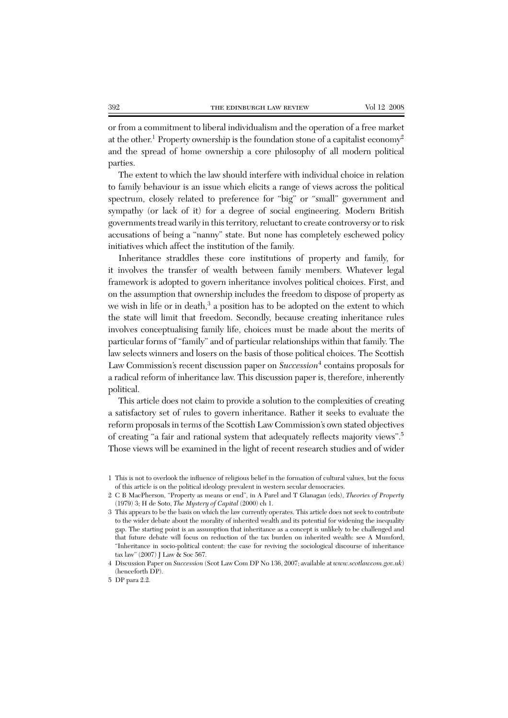or from a commitment to liberal individualism and the operation of a free market at the other.<sup>1</sup> Property ownership is the foundation stone of a capitalist economy<sup>2</sup> and the spread of home ownership a core philosophy of all modern political parties.

The extent to which the law should interfere with individual choice in relation to family behaviour is an issue which elicits a range of views across the political spectrum, closely related to preference for "big" or "small" government and sympathy (or lack of it) for a degree of social engineering. Modern British governments tread warily in this territory, reluctant to create controversy or to risk accusations of being a "nanny" state. But none has completely eschewed policy initiatives which affect the institution of the family.

Inheritance straddles these core institutions of property and family, for it involves the transfer of wealth between family members. Whatever legal framework is adopted to govern inheritance involves political choices. First, and on the assumption that ownership includes the freedom to dispose of property as we wish in life or in death, $3$  a position has to be adopted on the extent to which the state will limit that freedom. Secondly, because creating inheritance rules involves conceptualising family life, choices must be made about the merits of particular forms of "family" and of particular relationships within that family. The law selects winners and losers on the basis of those political choices. The Scottish Law Commission's recent discussion paper on *Succession*<sup>4</sup> contains proposals for a radical reform of inheritance law. This discussion paper is, therefore, inherently political.

This article does not claim to provide a solution to the complexities of creating a satisfactory set of rules to govern inheritance. Rather it seeks to evaluate the reform proposals in terms of the Scottish Law Commission's own stated objectives of creating "a fair and rational system that adequately reflects majority views".<sup>5</sup> Those views will be examined in the light of recent research studies and of wider

<sup>1</sup> This is not to overlook the influence of religious belief in the formation of cultural values, but the focus of this article is on the political ideology prevalent in western secular democracies.

<sup>2</sup> C B MacPherson, "Property as means or end", in A Parel and T Glanagan (eds), *Theories of Property* (1979) 3; H de Soto, *The Mystery of Capital* (2000) ch 1.

<sup>3</sup> This appears to be the basis on which the law currently operates. This article does not seek to contribute to the wider debate about the morality of inherited wealth and its potential for widening the inequality gap. The starting point is an assumption that inheritance as a concept is unlikely to be challenged and that future debate will focus on reduction of the tax burden on inherited wealth: see A Mumford, "Inheritance in socio-political content: the case for reviving the sociological discourse of inheritance tax law" (2007) J Law & Soc 567.

<sup>4</sup> Discussion Paper on *Succession* (Scot Law Com DP No 136, 2007; available at *www.scotlawcom.gov.uk*) (henceforth DP).

<sup>5</sup> DP para 2.2.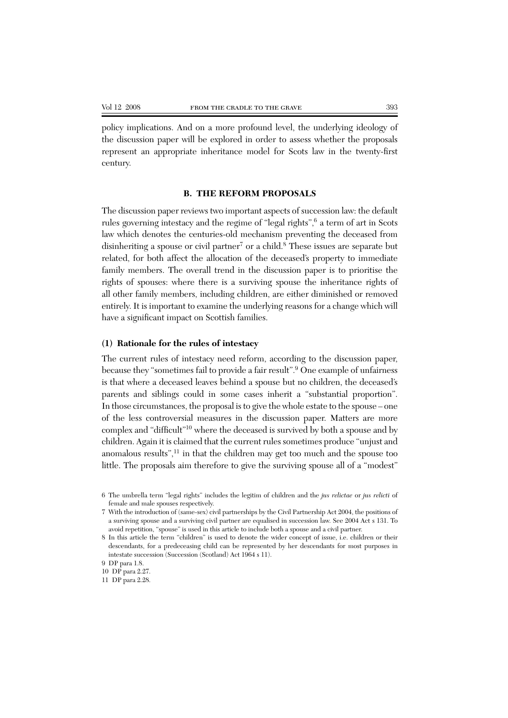policy implications. And on a more profound level, the underlying ideology of the discussion paper will be explored in order to assess whether the proposals represent an appropriate inheritance model for Scots law in the twenty-first century.

# **B. THE REFORM PROPOSALS**

The discussion paper reviews two important aspects of succession law: the default rules governing intestacy and the regime of "legal rights", 6 a term of art in Scots law which denotes the centuries-old mechanism preventing the deceased from disinheriting a spouse or civil partner<sup>7</sup> or a child.<sup>8</sup> These issues are separate but related, for both affect the allocation of the deceased's property to immediate family members. The overall trend in the discussion paper is to prioritise the rights of spouses: where there is a surviving spouse the inheritance rights of all other family members, including children, are either diminished or removed entirely. It is important to examine the underlying reasons for a change which will have a significant impact on Scottish families.

#### **(1) Rationale for the rules of intestacy**

The current rules of intestacy need reform, according to the discussion paper, because they "sometimes fail to provide a fair result".<sup>9</sup> One example of unfairness is that where a deceased leaves behind a spouse but no children, the deceased's parents and siblings could in some cases inherit a "substantial proportion". In those circumstances, the proposal is to give the whole estate to the spouse – one of the less controversial measures in the discussion paper. Matters are more complex and "difficult"10 where the deceased is survived by both a spouse and by children. Again it is claimed that the current rules sometimes produce "unjust and anomalous results", $11$  in that the children may get too much and the spouse too little. The proposals aim therefore to give the surviving spouse all of a "modest"

<sup>6</sup> The umbrella term "legal rights" includes the legitim of children and the *jus relictae* or *jus relicti* of female and male spouses respectively.

<sup>7</sup> With the introduction of (same-sex) civil partnerships by the Civil Partnership Act 2004, the positions of a surviving spouse and a surviving civil partner are equalised in succession law. See 2004 Act s 131. To avoid repetition, "spouse" is used in this article to include both a spouse and a civil partner.

<sup>8</sup> In this article the term "children" is used to denote the wider concept of issue, i.e. children or their descendants, for a predeceasing child can be represented by her descendants for most purposes in intestate succession (Succession (Scotland) Act 1964 s 11).

<sup>9</sup> DP para 1.8.

<sup>10</sup> DP para 2.27.

<sup>11</sup> DP para 2.28.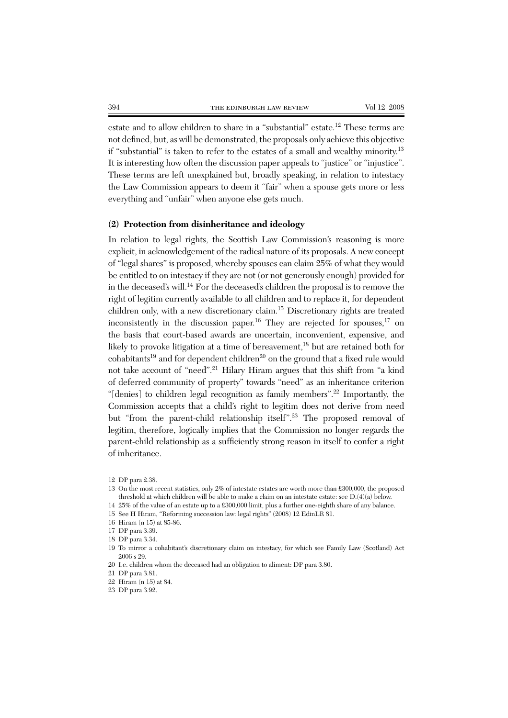estate and to allow children to share in a "substantial" estate.<sup>12</sup> These terms are not defined, but, as will be demonstrated, the proposals only achieve this objective if "substantial" is taken to refer to the estates of a small and wealthy minority.<sup>13</sup> It is interesting how often the discussion paper appeals to "justice" or "injustice". These terms are left unexplained but, broadly speaking, in relation to intestacy the Law Commission appears to deem it "fair" when a spouse gets more or less everything and "unfair" when anyone else gets much.

#### **(2) Protection from disinheritance and ideology**

In relation to legal rights, the Scottish Law Commission's reasoning is more explicit, in acknowledgement of the radical nature of its proposals. A new concept of "legal shares" is proposed, whereby spouses can claim 25% of what they would be entitled to on intestacy if they are not (or not generously enough) provided for in the deceased's will.<sup>14</sup> For the deceased's children the proposal is to remove the right of legitim currently available to all children and to replace it, for dependent children only, with a new discretionary claim.<sup>15</sup> Discretionary rights are treated inconsistently in the discussion paper.<sup>16</sup> They are rejected for spouses,<sup>17</sup> on the basis that court-based awards are uncertain, inconvenient, expensive, and likely to provoke litigation at a time of bereavement,<sup>18</sup> but are retained both for  $\rm{cohabitants}^{19}$  and for dependent children<sup>20</sup> on the ground that a fixed rule would not take account of "need".<sup>21</sup> Hilary Hiram argues that this shift from "a kind of deferred community of property" towards "need" as an inheritance criterion "[denies] to children legal recognition as family members".<sup>22</sup> Importantly, the Commission accepts that a child's right to legitim does not derive from need but "from the parent-child relationship itself".<sup>23</sup> The proposed removal of legitim, therefore, logically implies that the Commission no longer regards the parent-child relationship as a sufficiently strong reason in itself to confer a right of inheritance.

23 DP para 3.92.

<sup>12</sup> DP para 2.38.

<sup>13</sup> On the most recent statistics, only 2% of intestate estates are worth more than £300,000, the proposed threshold at which children will be able to make a claim on an intestate estate: see D.(4)(a) below.

<sup>14 25%</sup> of the value of an estate up to a £300,000 limit, plus a further one-eighth share of any balance.

<sup>15</sup> See H Hiram, "Reforming succession law: legal rights" (2008) 12 EdinLR 81.

<sup>16</sup> Hiram (n 15) at 85-86.

<sup>17</sup> DP para 3.39.

<sup>18</sup> DP para 3.34.

<sup>19</sup> To mirror a cohabitant's discretionary claim on intestacy, for which see Family Law (Scotland) Act 2006 s 29.

<sup>20</sup> I.e. children whom the deceased had an obligation to aliment: DP para 3.80.

<sup>21</sup> DP para 3.81.

<sup>22</sup> Hiram (n 15) at 84.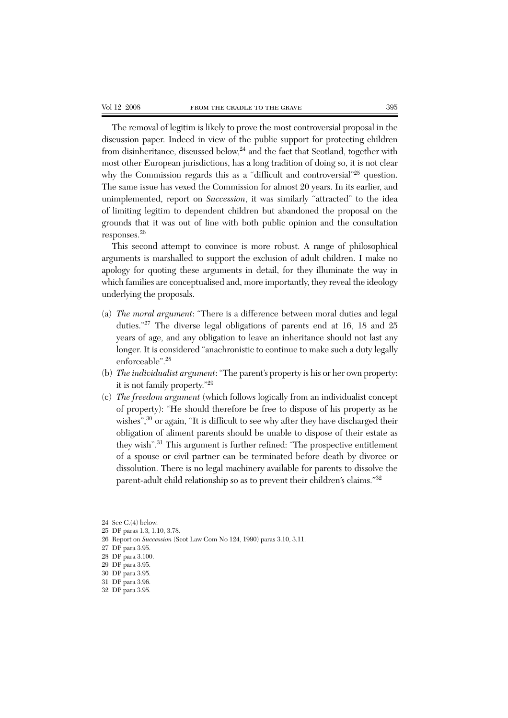The removal of legitim is likely to prove the most controversial proposal in the discussion paper. Indeed in view of the public support for protecting children from disinheritance, discussed below, $24$  and the fact that Scotland, together with most other European jurisdictions, has a long tradition of doing so, it is not clear why the Commission regards this as a "difficult and controversial"<sup>25</sup> question. The same issue has vexed the Commission for almost 20 years. In its earlier, and unimplemented, report on *Succession*, it was similarly "attracted" to the idea of limiting legitim to dependent children but abandoned the proposal on the grounds that it was out of line with both public opinion and the consultation responses.<sup>26</sup>

This second attempt to convince is more robust. A range of philosophical arguments is marshalled to support the exclusion of adult children. I make no apology for quoting these arguments in detail, for they illuminate the way in which families are conceptualised and, more importantly, they reveal the ideology underlying the proposals.

- (a) *The moral argument*: "There is a difference between moral duties and legal duties."27 The diverse legal obligations of parents end at 16, 18 and 25 years of age, and any obligation to leave an inheritance should not last any longer. It is considered "anachronistic to continue to make such a duty legally enforceable".<sup>28</sup>
- (b) *The individualist argument*: "The parent's property is his or her own property: it is not family property."29
- (c) *The freedom argument* (which follows logically from an individualist concept of property): "He should therefore be free to dispose of his property as he wishes",<sup>30</sup> or again, "It is difficult to see why after they have discharged their obligation of aliment parents should be unable to dispose of their estate as they wish".<sup>31</sup> This argument is further refined: "The prospective entitlement of a spouse or civil partner can be terminated before death by divorce or dissolution. There is no legal machinery available for parents to dissolve the parent-adult child relationship so as to prevent their children's claims."<sup>32</sup>

- 25 DP paras 1.3, 1.10, 3.78.
- 26 Report on *Succession* (Scot Law Com No 124, 1990) paras 3.10, 3.11.
- 27 DP para 3.95.
- 28 DP para 3.100.
- 29 DP para 3.95.
- 30 DP para 3.95.
- 31 DP para 3.96.
- 32 DP para 3.95.

<sup>24</sup> See C.(4) below.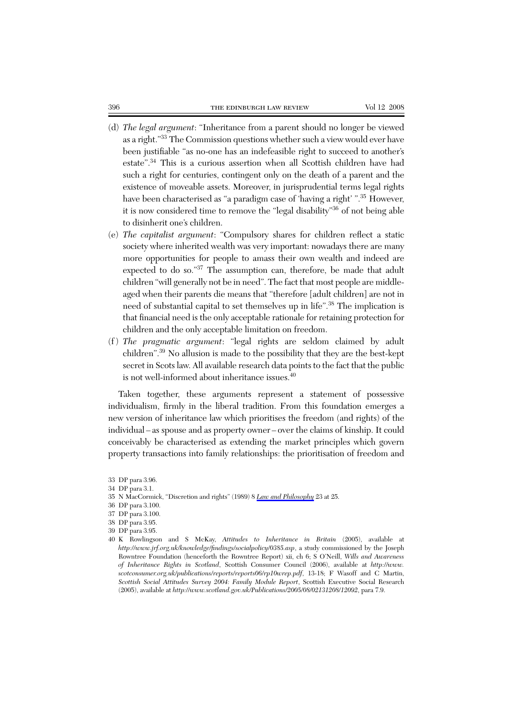- (d) *The legal argument*: "Inheritance from a parent should no longer be viewed as a right."33 The Commission questions whether such a view would ever have been justifiable "as no-one has an indefeasible right to succeed to another's estate".<sup>34</sup> This is a curious assertion when all Scottish children have had such a right for centuries, contingent only on the death of a parent and the existence of moveable assets. Moreover, in jurisprudential terms legal rights have been characterised as "a paradigm case of 'having a right' ".<sup>35</sup> However, it is now considered time to remove the "legal disability"<sup>36</sup> of not being able to disinherit one's children.
- (e) *The capitalist argument*: "Compulsory shares for children reflect a static society where inherited wealth was very important: nowadays there are many more opportunities for people to amass their own wealth and indeed are expected to do so."37 The assumption can, therefore, be made that adult children "will generally not be in need". The fact that most people are middleaged when their parents die means that "therefore [adult children] are not in need of substantial capital to set themselves up in life".<sup>38</sup> The implication is that financial need is the only acceptable rationale for retaining protection for children and the only acceptable limitation on freedom.
- (f ) *The pragmatic argument*: "legal rights are seldom claimed by adult children".<sup>39</sup> No allusion is made to the possibility that they are the best-kept secret in Scots law. All available research data points to the fact that the public is not well-informed about inheritance issues.<sup>40</sup>

Taken together, these arguments represent a statement of possessive individualism, firmly in the liberal tradition. From this foundation emerges a new version of inheritance law which prioritises the freedom (and rights) of the individual – as spouse and as property owner – over the claims of kinship. It could conceivably be characterised as extending the market principles which govern property transactions into family relationships: the prioritisation of freedom and

<sup>33</sup> DP para 3.96.

<sup>34</sup> DP para 3.1.

<sup>35</sup> N MacCormick, "Discretion and rights" (1989) 8 *Law and Philosophy* 23 at 25.

<sup>36</sup> DP para 3.100.

<sup>37</sup> DP para 3.100.

<sup>38</sup> DP para 3.95.

<sup>39</sup> DP para 3.95.

<sup>40</sup> K Rowlingson and S McKay, *Attitudes to Inheritance in Britain* (2005), available at *http://www.jrf.org.uk/knowledge/findings/socialpolicy/0385.asp*, a study commissioned by the Joseph Rowntree Foundation (henceforth the Rowntree Report) xii, ch 6; S O'Neill, *Wills and Awareness of Inheritance Rights in Scotland*, Scottish Consumer Council (2006), available at *http://www. scotconsumer.org.uk/publications/reports/reports06/rp10wrep.pdf*, 13-18; F Wasoff and C Martin, *Scottish Social Attitudes Survey 2004: Family Module Report*, Scottish Executive Social Research (2005), available at *http://www.scotland.gov.uk/Publications/2005/08/02131208/12092*, para 7.9.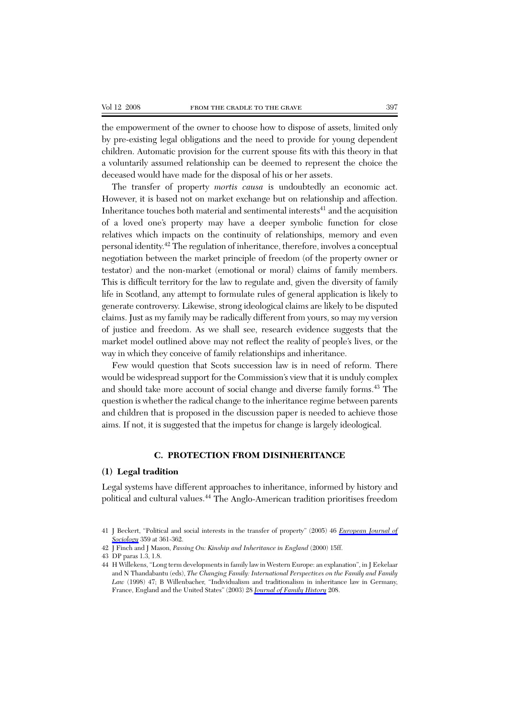the empowerment of the owner to choose how to dispose of assets, limited only by pre-existing legal obligations and the need to provide for young dependent children. Automatic provision for the current spouse fits with this theory in that a voluntarily assumed relationship can be deemed to represent the choice the deceased would have made for the disposal of his or her assets.

The transfer of property *mortis causa* is undoubtedly an economic act. However, it is based not on market exchange but on relationship and affection. Inheritance touches both material and sentimental interests $41$  and the acquisition of a loved one's property may have a deeper symbolic function for close relatives which impacts on the continuity of relationships, memory and even personal identity.<sup>42</sup> The regulation of inheritance, therefore, involves a conceptual negotiation between the market principle of freedom (of the property owner or testator) and the non-market (emotional or moral) claims of family members. This is difficult territory for the law to regulate and, given the diversity of family life in Scotland, any attempt to formulate rules of general application is likely to generate controversy. Likewise, strong ideological claims are likely to be disputed claims. Just as my family may be radically different from yours, so may my version of justice and freedom. As we shall see, research evidence suggests that the market model outlined above may not reflect the reality of people's lives, or the way in which they conceive of family relationships and inheritance.

Few would question that Scots succession law is in need of reform. There would be widespread support for the Commission's view that it is unduly complex and should take more account of social change and diverse family forms.<sup>43</sup> The question is whether the radical change to the inheritance regime between parents and children that is proposed in the discussion paper is needed to achieve those aims. If not, it is suggested that the impetus for change is largely ideological.

# **C. PROTECTION FROM DISINHERITANCE**

# **(1) Legal tradition**

Legal systems have different approaches to inheritance, informed by history and political and cultural values.<sup>44</sup> The Anglo-American tradition prioritises freedom

<sup>41</sup> J Beckert, "Political and social interests in the transfer of property" (2005) 46 *European Journal of Sociology* 359 at 361-362.

<sup>42</sup> J Finch and J Mason, *Passing On: Kinship and Inheritance in England* (2000) 15ff.

<sup>43</sup> DP paras 1.3, 1.8.

<sup>44</sup> H Willekens, "Long term developments in family law in Western Europe: an explanation", in J Eekelaar and N Thandabantu (eds), *The Changing Family: International Perspectives on the Family and Family Law* (1998) 47; B Willenbacher, "Individualism and traditionalism in inheritance law in Germany, France, England and the United States" (2003) 28 *Journal of Family History* 208.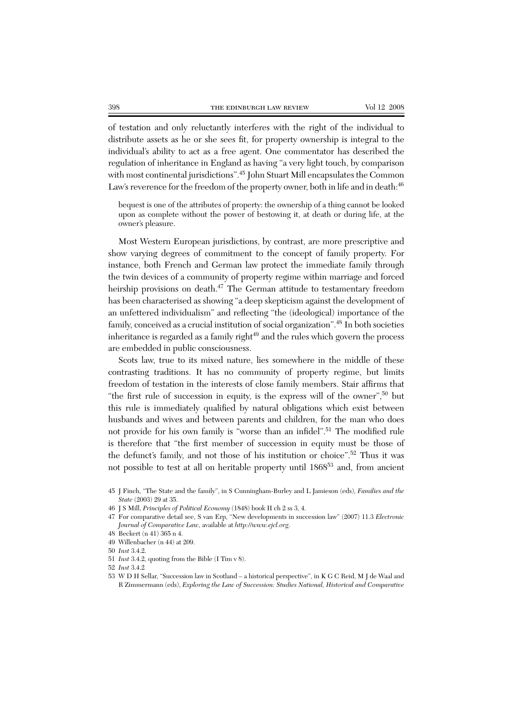of testation and only reluctantly interferes with the right of the individual to distribute assets as he or she sees fit, for property ownership is integral to the individual's ability to act as a free agent. One commentator has described the regulation of inheritance in England as having "a very light touch, by comparison with most continental jurisdictions".<sup>45</sup> John Stuart Mill encapsulates the Common Law's reverence for the freedom of the property owner, both in life and in death:<sup>46</sup>

bequest is one of the attributes of property: the ownership of a thing cannot be looked upon as complete without the power of bestowing it, at death or during life, at the owner's pleasure.

Most Western European jurisdictions, by contrast, are more prescriptive and show varying degrees of commitment to the concept of family property. For instance, both French and German law protect the immediate family through the twin devices of a community of property regime within marriage and forced heirship provisions on death.<sup>47</sup> The German attitude to testamentary freedom has been characterised as showing "a deep skepticism against the development of an unfettered individualism" and reflecting "the (ideological) importance of the family, conceived as a crucial institution of social organization".<sup>48</sup> In both societies inheritance is regarded as a family right $49$  and the rules which govern the process are embedded in public consciousness.

Scots law, true to its mixed nature, lies somewhere in the middle of these contrasting traditions. It has no community of property regime, but limits freedom of testation in the interests of close family members. Stair affirms that "the first rule of succession in equity, is the express will of the owner",  $50$  but this rule is immediately qualified by natural obligations which exist between husbands and wives and between parents and children, for the man who does not provide for his own family is "worse than an infidel".<sup>51</sup> The modified rule is therefore that "the first member of succession in equity must be those of the defunct's family, and not those of his institution or choice".<sup>52</sup> Thus it was not possible to test at all on heritable property until 1868<sup>53</sup> and, from ancient

- 46 J S Mill, *Principles of Political Economy* (1848) book II ch 2 ss 3, 4.
- 47 For comparative detail see, S van Erp, "New developments in succession law" (2007) 11.3 *Electronic Journal of Comparative Law*, available at *http://www.ejcl.org*.
- 48 Beckert (n 41) 365 n 4.
- 49 Willenbacher (n 44) at 209.
- 50 *Inst* 3.4.2.
- 51 *Inst* 3.4.2, quoting from the Bible (I Tim v 8).
- 52 *Inst* 3.4.2
- 53 W D H Sellar, "Succession law in Scotland a historical perspective", in K G C Reid, M J de Waal and R Zimmermann (eds), *Exploring the Law of Succession: Studies National, Historical and Comparative*

<sup>45</sup> J Finch, "The State and the family", in S Cunningham-Burley and L Jamieson (eds), *Families and the State* (2003) 29 at 35.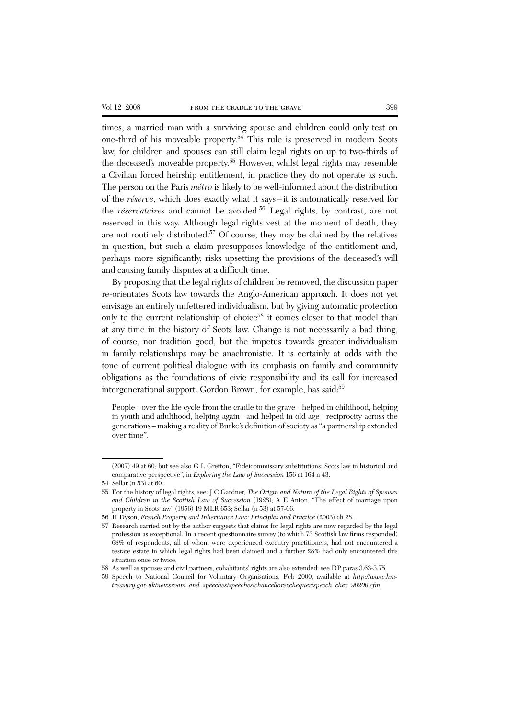times, a married man with a surviving spouse and children could only test on one-third of his moveable property.<sup>54</sup> This rule is preserved in modern Scots law, for children and spouses can still claim legal rights on up to two-thirds of the deceased's moveable property.<sup>55</sup> However, whilst legal rights may resemble a Civilian forced heirship entitlement, in practice they do not operate as such. The person on the Paris *métro* is likely to be well-informed about the distribution of the *réserve*, which does exactly what it says – it is automatically reserved for the *réservataires* and cannot be avoided.<sup>56</sup> Legal rights, by contrast, are not reserved in this way. Although legal rights vest at the moment of death, they are not routinely distributed.<sup>57</sup> Of course, they may be claimed by the relatives in question, but such a claim presupposes knowledge of the entitlement and, perhaps more significantly, risks upsetting the provisions of the deceased's will and causing family disputes at a difficult time.

By proposing that the legal rights of children be removed, the discussion paper re-orientates Scots law towards the Anglo-American approach. It does not yet envisage an entirely unfettered individualism, but by giving automatic protection only to the current relationship of choice<sup>58</sup> it comes closer to that model than at any time in the history of Scots law. Change is not necessarily a bad thing, of course, nor tradition good, but the impetus towards greater individualism in family relationships may be anachronistic. It is certainly at odds with the tone of current political dialogue with its emphasis on family and community obligations as the foundations of civic responsibility and its call for increased intergenerational support. Gordon Brown, for example, has said:<sup>59</sup>

People – over the life cycle from the cradle to the grave – helped in childhood, helping in youth and adulthood, helping again – and helped in old age – reciprocity across the generations – making a reality of Burke's definition of society as "a partnership extended over time".

<sup>(2007) 49</sup> at 60; but see also G L Gretton, "Fideicommissary substitutions: Scots law in historical and comparative perspective", in *Exploring the Law of Succession* 156 at 164 n 43.

<sup>54</sup> Sellar (n 53) at 60.

<sup>55</sup> For the history of legal rights, see: J C Gardner, *The Origin and Nature of the Legal Rights of Spouses and Children in the Scottish Law of Succession* (1928); A E Anton, "The effect of marriage upon property in Scots law" (1956) 19 MLR 653; Sellar (n 53) at 57-66.

<sup>56</sup> H Dyson, *French Property and Inheritance Law: Principles and Practice* (2003) ch 28.

<sup>57</sup> Research carried out by the author suggests that claims for legal rights are now regarded by the legal profession as exceptional. In a recent questionnaire survey (to which 73 Scottish law firms responded) 68% of respondents, all of whom were experienced executry practitioners, had not encountered a testate estate in which legal rights had been claimed and a further 28% had only encountered this situation once or twice.

<sup>58</sup> As well as spouses and civil partners, cohabitants' rights are also extended: see DP paras 3.63-3.75.

<sup>59</sup> Speech to National Council for Voluntary Organisations, Feb 2000, available at *http://www.hmtreasury.gov.uk/newsroom\_and\_speeches/speeches/chancellorexchequer/speech\_chex\_90200.cfm*.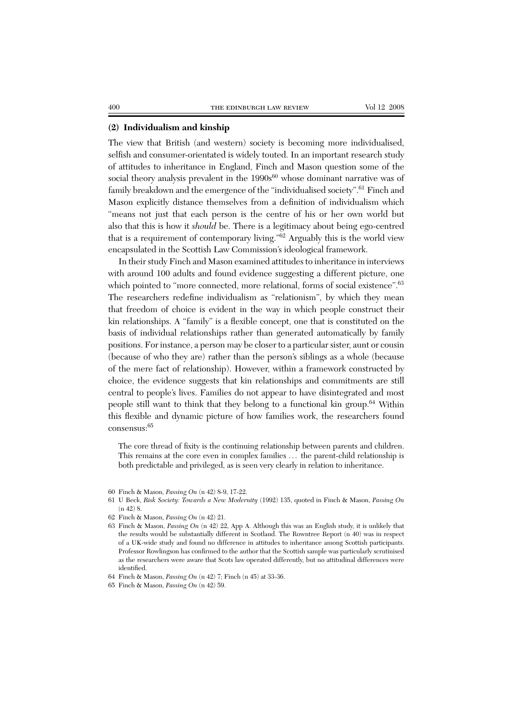# **(2) Individualism and kinship**

The view that British (and western) society is becoming more individualised, selfish and consumer-orientated is widely touted. In an important research study of attitudes to inheritance in England, Finch and Mason question some of the social theory analysis prevalent in the  $1990s^{60}$  whose dominant narrative was of family breakdown and the emergence of the "individualised society".<sup>61</sup> Finch and Mason explicitly distance themselves from a definition of individualism which "means not just that each person is the centre of his or her own world but also that this is how it *should* be. There is a legitimacy about being ego-centred that is a requirement of contemporary living."<sup>62</sup> Arguably this is the world view encapsulated in the Scottish Law Commission's ideological framework.

In their study Finch and Mason examined attitudes to inheritance in interviews with around 100 adults and found evidence suggesting a different picture, one which pointed to "more connected, more relational, forms of social existence".<sup>63</sup> The researchers redefine individualism as "relationism", by which they mean that freedom of choice is evident in the way in which people construct their kin relationships. A "family" is a flexible concept, one that is constituted on the basis of individual relationships rather than generated automatically by family positions. For instance, a person may be closer to a particular sister, aunt or cousin (because of who they are) rather than the person's siblings as a whole (because of the mere fact of relationship). However, within a framework constructed by choice, the evidence suggests that kin relationships and commitments are still central to people's lives. Families do not appear to have disintegrated and most people still want to think that they belong to a functional kin group.<sup>64</sup> Within this flexible and dynamic picture of how families work, the researchers found consensus:<sup>65</sup>

The core thread of fixity is the continuing relationship between parents and children. This remains at the core even in complex families . . . the parent-child relationship is both predictable and privileged, as is seen very clearly in relation to inheritance.

- 60 Finch & Mason, *Passing On* (n 42) 8-9, 17-22.
- 61 U Beck, *Risk Society: Towards a New Modernity* (1992) 135, quoted in Finch & Mason, *Passing On* (n 42) 8.
- 62 Finch & Mason, *Passing On* (n 42) 21.
- 63 Finch & Mason, *Passing On* (n 42) 22, App A. Although this was an English study, it is unlikely that the results would be substantially different in Scotland. The Rowntree Report (n 40) was in respect of a UK-wide study and found no difference in attitudes to inheritance among Scottish participants. Professor Rowlingson has confirmed to the author that the Scottish sample was particularly scrutinised as the researchers were aware that Scots law operated differently, but no attitudinal differences were identified.
- 64 Finch & Mason, *Passing On* (n 42) 7; Finch (n 45) at 33-36.
- 65 Finch & Mason, *Passing On* (n 42) 59.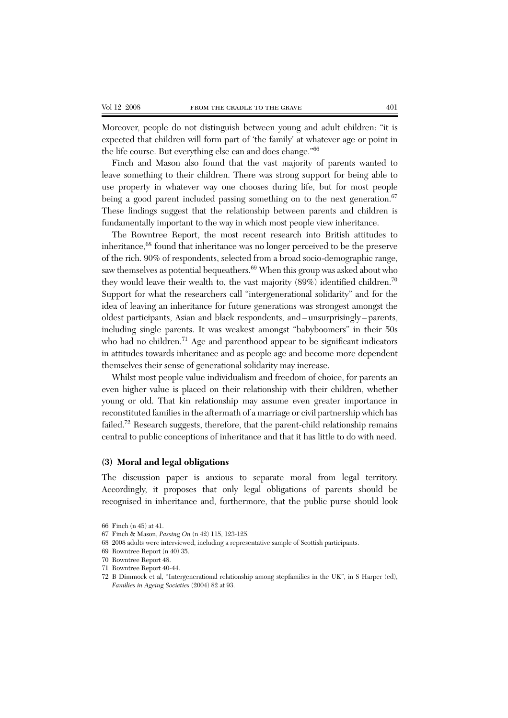Moreover, people do not distinguish between young and adult children: "it is expected that children will form part of 'the family' at whatever age or point in the life course. But everything else can and does change."<sup>66</sup>

Finch and Mason also found that the vast majority of parents wanted to leave something to their children. There was strong support for being able to use property in whatever way one chooses during life, but for most people being a good parent included passing something on to the next generation.<sup>67</sup> These findings suggest that the relationship between parents and children is fundamentally important to the way in which most people view inheritance.

The Rowntree Report, the most recent research into British attitudes to inheritance,<sup>68</sup> found that inheritance was no longer perceived to be the preserve of the rich. 90% of respondents, selected from a broad socio-demographic range, saw themselves as potential bequeathers.<sup>69</sup> When this group was asked about who they would leave their wealth to, the vast majority  $(89%)$  identified children.<sup>70</sup> Support for what the researchers call "intergenerational solidarity" and for the idea of leaving an inheritance for future generations was strongest amongst the oldest participants, Asian and black respondents, and – unsurprisingly – parents, including single parents. It was weakest amongst "babyboomers" in their 50s who had no children.<sup>71</sup> Age and parenthood appear to be significant indicators in attitudes towards inheritance and as people age and become more dependent themselves their sense of generational solidarity may increase.

Whilst most people value individualism and freedom of choice, for parents an even higher value is placed on their relationship with their children, whether young or old. That kin relationship may assume even greater importance in reconstituted families in the aftermath of a marriage or civil partnership which has failed.<sup>72</sup> Research suggests, therefore, that the parent-child relationship remains central to public conceptions of inheritance and that it has little to do with need.

# **(3) Moral and legal obligations**

The discussion paper is anxious to separate moral from legal territory. Accordingly, it proposes that only legal obligations of parents should be recognised in inheritance and, furthermore, that the public purse should look

<sup>66</sup> Finch (n 45) at 41.

<sup>67</sup> Finch & Mason, *Passing On* (n 42) 115, 123-125.

<sup>68 2008</sup> adults were interviewed, including a representative sample of Scottish participants.

<sup>69</sup> Rowntree Report (n 40) 35.

<sup>70</sup> Rowntree Report 48.

<sup>71</sup> Rowntree Report 40-44.

<sup>72</sup> B Dimmock et al, "Intergenerational relationship among stepfamilies in the UK", in S Harper (ed), *Families in Ageing Societies* (2004) 82 at 93.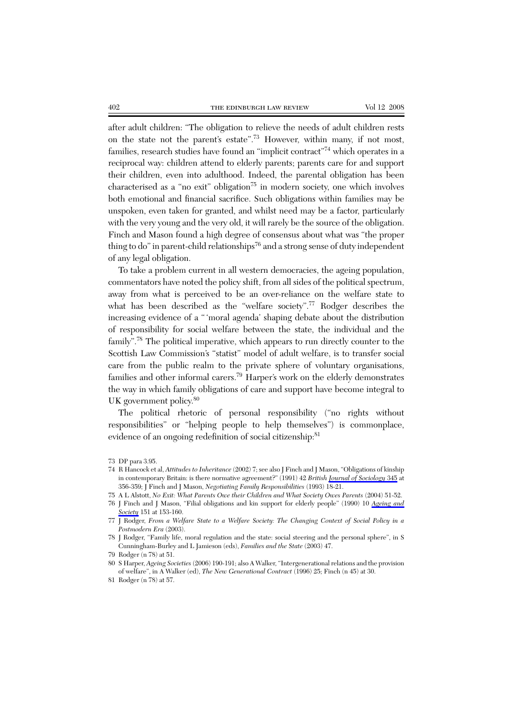after adult children: "The obligation to relieve the needs of adult children rests on the state not the parent's estate".<sup>73</sup> However, within many, if not most, families, research studies have found an "implicit contract"<sup>74</sup> which operates in a reciprocal way: children attend to elderly parents; parents care for and support their children, even into adulthood. Indeed, the parental obligation has been characterised as a "no exit" obligation<sup>75</sup> in modern society, one which involves both emotional and financial sacrifice. Such obligations within families may be unspoken, even taken for granted, and whilst need may be a factor, particularly with the very young and the very old, it will rarely be the source of the obligation. Finch and Mason found a high degree of consensus about what was "the proper thing to do" in parent-child relationships<sup>76</sup> and a strong sense of duty independent of any legal obligation.

To take a problem current in all western democracies, the ageing population, commentators have noted the policy shift, from all sides of the political spectrum, away from what is perceived to be an over-reliance on the welfare state to what has been described as the "welfare society".<sup>77</sup> Rodger describes the increasing evidence of a " 'moral agenda' shaping debate about the distribution of responsibility for social welfare between the state, the individual and the family".<sup>78</sup> The political imperative, which appears to run directly counter to the Scottish Law Commission's "statist" model of adult welfare, is to transfer social care from the public realm to the private sphere of voluntary organisations, families and other informal carers.<sup>79</sup> Harper's work on the elderly demonstrates the way in which family obligations of care and support have become integral to UK government policy.<sup>80</sup>

The political rhetoric of personal responsibility ("no rights without responsibilities" or "helping people to help themselves") is commonplace, evidence of an ongoing redefinition of social citizenship:<sup>81</sup>

- 75 A L Alstott, *No Exit: What Parents Owe their Children and What Society Owes Parents* (2004) 51-52.
- 76 J Finch and J Mason, "Filial obligations and kin support for elderly people" (1990) 10 *Ageing and Society* 151 at 153-160.

80 S Harper, *Ageing Societies* (2006) 190-191; also A Walker, "Intergenerational relations and the provision of welfare", in A Walker (ed), *The New Generational Contract* (1996) 25; Finch (n 45) at 30.

<sup>73</sup> DP para 3.95.

<sup>74</sup> R Hancock et al, *Attitudes to Inheritance* (2002) 7; see also J Finch and J Mason, "Obligations of kinship in contemporary Britain: is there normative agreement?" (1991) 42 *British Journal of Sociology* 345 at 356-359; J Finch and J Mason, *Negotiating Family Responsibilities* (1993) 18-21.

<sup>77</sup> J Rodger, *From a Welfare State to a Welfare Society: The Changing Context of Social Policy in a Postmodern Era* (2003).

<sup>78</sup> J Rodger, "Family life, moral regulation and the state: social steering and the personal sphere", in S Cunningham-Burley and L Jamieson (eds), *Families and the State* (2003) 47.

<sup>79</sup> Rodger (n 78) at 51.

<sup>81</sup> Rodger (n 78) at 57.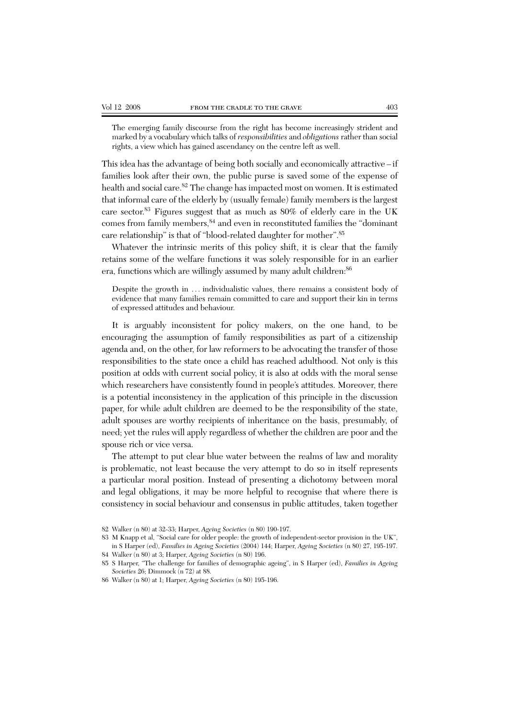The emerging family discourse from the right has become increasingly strident and marked by a vocabulary which talks of *responsibilities* and *obligations* rather than social rights, a view which has gained ascendancy on the centre left as well.

This idea has the advantage of being both socially and economically attractive – if families look after their own, the public purse is saved some of the expense of health and social care.<sup>82</sup> The change has impacted most on women. It is estimated that informal care of the elderly by (usually female) family members is the largest care sector.<sup>83</sup> Figures suggest that as much as 80% of elderly care in the UK comes from family members,  $84$  and even in reconstituted families the "dominant care relationship" is that of "blood-related daughter for mother".<sup>85</sup>

Whatever the intrinsic merits of this policy shift, it is clear that the family retains some of the welfare functions it was solely responsible for in an earlier era, functions which are willingly assumed by many adult children:<sup>86</sup>

Despite the growth in ... individualistic values, there remains a consistent body of evidence that many families remain committed to care and support their kin in terms of expressed attitudes and behaviour.

It is arguably inconsistent for policy makers, on the one hand, to be encouraging the assumption of family responsibilities as part of a citizenship agenda and, on the other, for law reformers to be advocating the transfer of those responsibilities to the state once a child has reached adulthood. Not only is this position at odds with current social policy, it is also at odds with the moral sense which researchers have consistently found in people's attitudes. Moreover, there is a potential inconsistency in the application of this principle in the discussion paper, for while adult children are deemed to be the responsibility of the state, adult spouses are worthy recipients of inheritance on the basis, presumably, of need; yet the rules will apply regardless of whether the children are poor and the spouse rich or vice versa.

The attempt to put clear blue water between the realms of law and morality is problematic, not least because the very attempt to do so in itself represents a particular moral position. Instead of presenting a dichotomy between moral and legal obligations, it may be more helpful to recognise that where there is consistency in social behaviour and consensus in public attitudes, taken together

<sup>82</sup> Walker (n 80) at 32-33; Harper, *Ageing Societies* (n 80) 190-197.

<sup>83</sup> M Knapp et al, "Social care for older people: the growth of independent-sector provision in the UK", in S Harper (ed), *Families in Ageing Societies* (2004) 144; Harper, *Ageing Societies* (n 80) 27, 195-197. 84 Walker (n 80) at 3; Harper, *Ageing Societies* (n 80) 196.

<sup>85</sup> S Harper, "The challenge for families of demographic ageing", in S Harper (ed), *Families in Ageing Societies* 26; Dimmock (n 72) at 88.

<sup>86</sup> Walker (n 80) at 1; Harper, *Ageing Societies* (n 80) 195-196.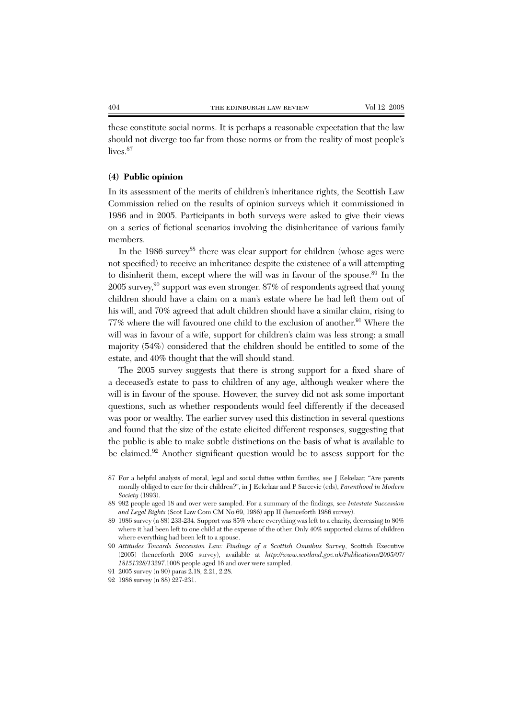these constitute social norms. It is perhaps a reasonable expectation that the law should not diverge too far from those norms or from the reality of most people's lives.<sup>87</sup>

#### **(4) Public opinion**

In its assessment of the merits of children's inheritance rights, the Scottish Law Commission relied on the results of opinion surveys which it commissioned in 1986 and in 2005. Participants in both surveys were asked to give their views on a series of fictional scenarios involving the disinheritance of various family members.

In the 1986 survey<sup>88</sup> there was clear support for children (whose ages were not specified) to receive an inheritance despite the existence of a will attempting to disinherit them, except where the will was in favour of the spouse.<sup>89</sup> In the  $2005$  survey,<sup>90</sup> support was even stronger. 87% of respondents agreed that young children should have a claim on a man's estate where he had left them out of his will, and 70% agreed that adult children should have a similar claim, rising to 77% where the will favoured one child to the exclusion of another.<sup>91</sup> Where the will was in favour of a wife, support for children's claim was less strong: a small majority (54%) considered that the children should be entitled to some of the estate, and 40% thought that the will should stand.

The 2005 survey suggests that there is strong support for a fixed share of a deceased's estate to pass to children of any age, although weaker where the will is in favour of the spouse. However, the survey did not ask some important questions, such as whether respondents would feel differently if the deceased was poor or wealthy. The earlier survey used this distinction in several questions and found that the size of the estate elicited different responses, suggesting that the public is able to make subtle distinctions on the basis of what is available to be claimed.<sup>92</sup> Another significant question would be to assess support for the

- 87 For a helpful analysis of moral, legal and social duties within families, see J Eekelaar, "Are parents morally obliged to care for their children?", in J Eekelaar and P Sarcevic (eds), *Parenthood in Modern Society* (1993).
- 88 992 people aged 18 and over were sampled. For a summary of the findings, see *Intestate Succession and Legal Rights* (Scot Law Com CM No 69, 1986) app II (henceforth 1986 survey).
- 89 1986 survey (n 88) 233-234. Support was 85% where everything was left to a charity, decreasing to 80% where it had been left to one child at the expense of the other. Only 40% supported claims of children where everything had been left to a spouse.
- 90 *Attitudes Towards Succession Law: Findings of a Scottish Omnibus Survey*, Scottish Executive (2005) (henceforth 2005 survey), available at *http://www.scotland.gov.uk/Publications/2005/07/ 18151328/13297*.1008 people aged 16 and over were sampled.
- 91 2005 survey (n 90) paras 2.18, 2.21, 2.28.
- 92 1986 survey (n 88) 227-231.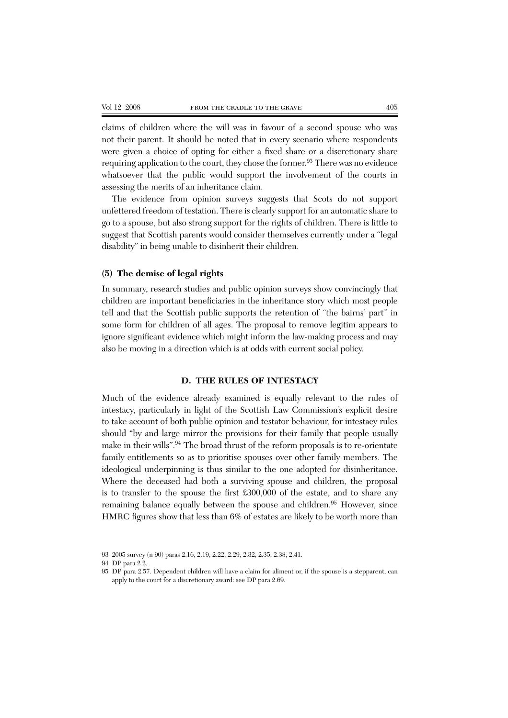claims of children where the will was in favour of a second spouse who was not their parent. It should be noted that in every scenario where respondents were given a choice of opting for either a fixed share or a discretionary share requiring application to the court, they chose the former.<sup>93</sup> There was no evidence whatsoever that the public would support the involvement of the courts in assessing the merits of an inheritance claim.

The evidence from opinion surveys suggests that Scots do not support unfettered freedom of testation. There is clearly support for an automatic share to go to a spouse, but also strong support for the rights of children. There is little to suggest that Scottish parents would consider themselves currently under a "legal disability" in being unable to disinherit their children.

#### **(5) The demise of legal rights**

In summary, research studies and public opinion surveys show convincingly that children are important beneficiaries in the inheritance story which most people tell and that the Scottish public supports the retention of *"*the bairns' part*"* in some form for children of all ages. The proposal to remove legitim appears to ignore significant evidence which might inform the law-making process and may also be moving in a direction which is at odds with current social policy.

# **D. THE RULES OF INTESTACY**

Much of the evidence already examined is equally relevant to the rules of intestacy, particularly in light of the Scottish Law Commission's explicit desire to take account of both public opinion and testator behaviour, for intestacy rules should "by and large mirror the provisions for their family that people usually make in their wills".<sup>94</sup> The broad thrust of the reform proposals is to re-orientate family entitlements so as to prioritise spouses over other family members. The ideological underpinning is thus similar to the one adopted for disinheritance. Where the deceased had both a surviving spouse and children, the proposal is to transfer to the spouse the first £300,000 of the estate, and to share any remaining balance equally between the spouse and children.<sup>95</sup> However, since HMRC figures show that less than 6% of estates are likely to be worth more than

<sup>93 2005</sup> survey (n 90) paras 2.16, 2.19, 2.22, 2.29, 2.32, 2.35, 2.38, 2.41.

<sup>94</sup> DP para 2.2.

<sup>95</sup> DP para 2.57. Dependent children will have a claim for aliment or, if the spouse is a stepparent, can apply to the court for a discretionary award: see DP para 2.69.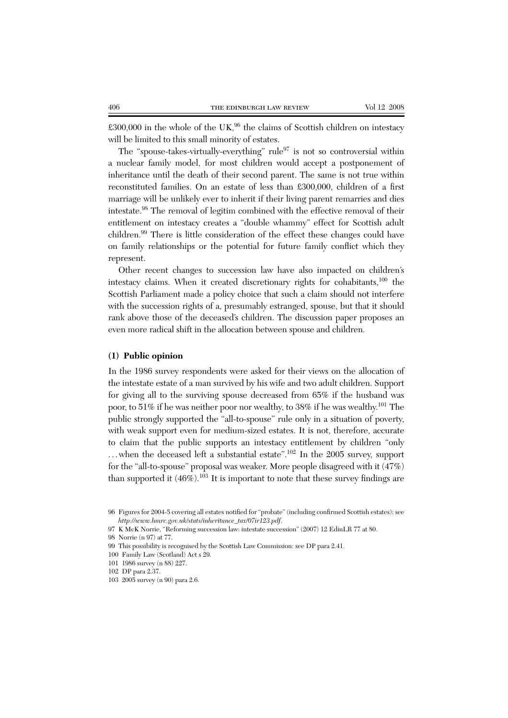£300,000 in the whole of the UK, $96$  the claims of Scottish children on intestacy will be limited to this small minority of estates.

The "spouse-takes-virtually-everything" rule $97$  is not so controversial within a nuclear family model, for most children would accept a postponement of inheritance until the death of their second parent. The same is not true within reconstituted families. On an estate of less than £300,000, children of a first marriage will be unlikely ever to inherit if their living parent remarries and dies intestate.<sup>98</sup> The removal of legitim combined with the effective removal of their entitlement on intestacy creates a "double whammy" effect for Scottish adult children.<sup>99</sup> There is little consideration of the effect these changes could have on family relationships or the potential for future family conflict which they represent.

Other recent changes to succession law have also impacted on children's intestacy claims. When it created discretionary rights for cohabitants, $100$  the Scottish Parliament made a policy choice that such a claim should not interfere with the succession rights of a, presumably estranged, spouse, but that it should rank above those of the deceased's children. The discussion paper proposes an even more radical shift in the allocation between spouse and children.

#### **(1) Public opinion**

In the 1986 survey respondents were asked for their views on the allocation of the intestate estate of a man survived by his wife and two adult children. Support for giving all to the surviving spouse decreased from 65% if the husband was poor, to 51% if he was neither poor nor wealthy, to 38% if he was wealthy.101 The public strongly supported the "all-to-spouse" rule only in a situation of poverty, with weak support even for medium-sized estates. It is not, therefore, accurate to claim that the public supports an intestacy entitlement by children "only ... when the deceased left a substantial estate".<sup>102</sup> In the 2005 survey, support for the "all-to-spouse" proposal was weaker. More people disagreed with it (47%) than supported it  $(46\%)$ .<sup>103</sup> It is important to note that these survey findings are

<sup>96</sup> Figures for 2004-5 covering all estates notified for "probate" (including confirmed Scottish estates): see *http://www.hmrc.gov.uk/stats/inheritance\_tax/07ir123.pdf*.

<sup>97</sup> K McK Norrie, "Reforming succession law: intestate succession" (2007) 12 EdinLR 77 at 80.

<sup>98</sup> Norrie (n 97) at 77.

<sup>99</sup> This possibility is recognised by the Scottish Law Commission: see DP para 2.41.

<sup>100</sup> Family Law (Scotland) Act s 29.

<sup>101 1986</sup> survey (n 88) 227.

<sup>102</sup> DP para 2.37.

<sup>103 2005</sup> survey (n 90) para 2.6.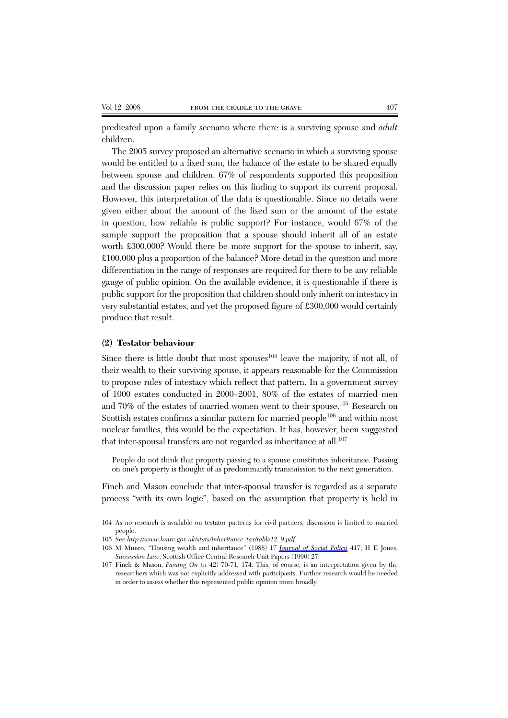predicated upon a family scenario where there is a surviving spouse and *adult* children.

The 2005 survey proposed an alternative scenario in which a surviving spouse would be entitled to a fixed sum, the balance of the estate to be shared equally between spouse and children. 67% of respondents supported this proposition and the discussion paper relies on this finding to support its current proposal. However, this interpretation of the data is questionable. Since no details were given either about the amount of the fixed sum or the amount of the estate in question, how reliable is public support? For instance, would 67% of the sample support the proposition that a spouse should inherit all of an estate worth £300,000? Would there be more support for the spouse to inherit, say, £100,000 plus a proportion of the balance? More detail in the question and more differentiation in the range of responses are required for there to be any reliable gauge of public opinion. On the available evidence, it is questionable if there is public support for the proposition that children should only inherit on intestacy in very substantial estates, and yet the proposed figure of £300,000 would certainly produce that result.

#### **(2) Testator behaviour**

Since there is little doubt that most spouses $104$  leave the majority, if not all, of their wealth to their surviving spouse, it appears reasonable for the Commission to propose rules of intestacy which reflect that pattern. In a government survey of 1000 estates conducted in 2000–2001, 80% of the estates of married men and 70% of the estates of married women went to their spouse.<sup>105</sup> Research on Scottish estates confirms a similar pattern for married people<sup>106</sup> and within most nuclear families, this would be the expectation. It has, however, been suggested that inter-spousal transfers are not regarded as inheritance at all:<sup>107</sup>

People do not think that property passing to a spouse constitutes inheritance. Passing on one's property is thought of as predominantly transmission to the next generation.

Finch and Mason conclude that inter-spousal transfer is regarded as a separate process "with its own logic", based on the assumption that property is held in

<sup>104</sup> As no research is available on testator patterns for civil partners, discussion is limited to married people.

<sup>105</sup> See *http://www.hmrc.gov.uk/stats/inheritance\_tax/table12\_9.pdf*.

<sup>106</sup> M Munro, "Housing wealth and inheritance" (1988) 17 *Journal of Social Policy* 417; H E Jones, *Succession Law*, Scottish Office Central Research Unit Papers (1990) 27.

<sup>107</sup> Finch & Mason, *Passing On* (n 42) 70-71, 174. This, of course, is an interpretation given by the researchers which was not explicitly addressed with participants. Further research would be needed in order to assess whether this represented public opinion more broadly.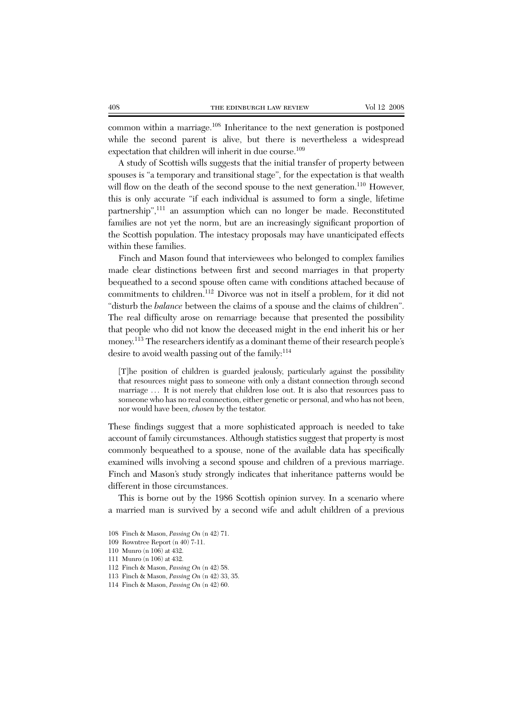common within a marriage.<sup>108</sup> Inheritance to the next generation is postponed while the second parent is alive, but there is nevertheless a widespread expectation that children will inherit in due course.<sup>109</sup>

A study of Scottish wills suggests that the initial transfer of property between spouses is "a temporary and transitional stage", for the expectation is that wealth will flow on the death of the second spouse to the next generation.<sup>110</sup> However, this is only accurate "if each individual is assumed to form a single, lifetime partnership",<sup>111</sup> an assumption which can no longer be made. Reconstituted families are not yet the norm, but are an increasingly significant proportion of the Scottish population. The intestacy proposals may have unanticipated effects within these families.

Finch and Mason found that interviewees who belonged to complex families made clear distinctions between first and second marriages in that property bequeathed to a second spouse often came with conditions attached because of commitments to children.<sup>112</sup> Divorce was not in itself a problem, for it did not "disturb the *balance* between the claims of a spouse and the claims of children". The real difficulty arose on remarriage because that presented the possibility that people who did not know the deceased might in the end inherit his or her money.<sup>113</sup> The researchers identify as a dominant theme of their research people's desire to avoid wealth passing out of the family:  $114$ 

[T]he position of children is guarded jealously, particularly against the possibility that resources might pass to someone with only a distant connection through second marriage ... It is not merely that children lose out. It is also that resources pass to someone who has no real connection, either genetic or personal, and who has not been, nor would have been, *chosen* by the testator.

These findings suggest that a more sophisticated approach is needed to take account of family circumstances. Although statistics suggest that property is most commonly bequeathed to a spouse, none of the available data has specifically examined wills involving a second spouse and children of a previous marriage. Finch and Mason's study strongly indicates that inheritance patterns would be different in those circumstances.

This is borne out by the 1986 Scottish opinion survey. In a scenario where a married man is survived by a second wife and adult children of a previous

- 109 Rowntree Report (n 40) 7-11.
- 110 Munro (n 106) at 432.
- 111 Munro (n 106) at 432.
- 112 Finch & Mason, *Passing On* (n 42) 58.
- 113 Finch & Mason, *Passing On* (n 42) 33, 35.
- 114 Finch & Mason, *Passing On* (n 42) 60.

<sup>108</sup> Finch & Mason, *Passing On* (n 42) 71.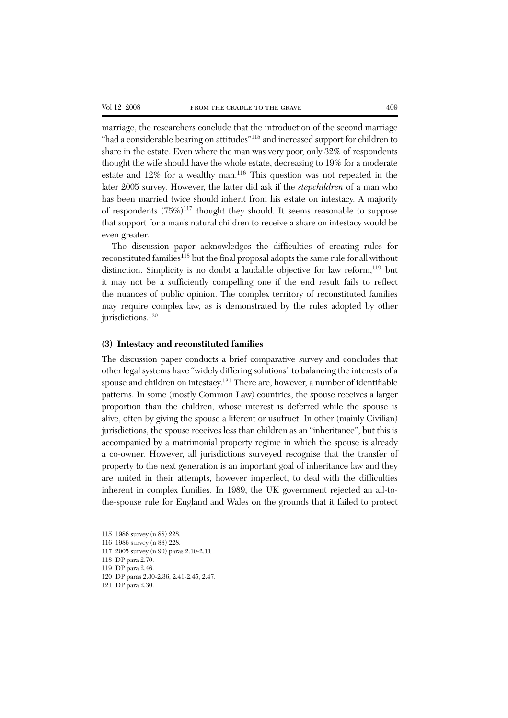marriage, the researchers conclude that the introduction of the second marriage "had a considerable bearing on attitudes"<sup>115</sup> and increased support for children to share in the estate. Even where the man was very poor, only 32% of respondents thought the wife should have the whole estate, decreasing to 19% for a moderate estate and 12% for a wealthy man.<sup>116</sup> This question was not repeated in the later 2005 survey. However, the latter did ask if the *stepchildren* of a man who has been married twice should inherit from his estate on intestacy. A majority of respondents  $(75%)^{117}$  thought they should. It seems reasonable to suppose that support for a man's natural children to receive a share on intestacy would be even greater.

The discussion paper acknowledges the difficulties of creating rules for reconstituted families<sup>118</sup> but the final proposal adopts the same rule for all without distinction. Simplicity is no doubt a laudable objective for law reform,<sup>119</sup> but it may not be a sufficiently compelling one if the end result fails to reflect the nuances of public opinion. The complex territory of reconstituted families may require complex law, as is demonstrated by the rules adopted by other jurisdictions.<sup>120</sup>

#### **(3) Intestacy and reconstituted families**

The discussion paper conducts a brief comparative survey and concludes that other legal systems have "widely differing solutions" to balancing the interests of a spouse and children on intestacy.<sup>121</sup> There are, however, a number of identifiable patterns. In some (mostly Common Law) countries, the spouse receives a larger proportion than the children, whose interest is deferred while the spouse is alive, often by giving the spouse a liferent or usufruct. In other (mainly Civilian) jurisdictions, the spouse receives less than children as an "inheritance", but this is accompanied by a matrimonial property regime in which the spouse is already a co-owner. However, all jurisdictions surveyed recognise that the transfer of property to the next generation is an important goal of inheritance law and they are united in their attempts, however imperfect, to deal with the difficulties inherent in complex families. In 1989, the UK government rejected an all-tothe-spouse rule for England and Wales on the grounds that it failed to protect

- 120 DP paras 2.30-2.36, 2.41-2.45, 2.47.
- 121 DP para 2.30.

<sup>115 1986</sup> survey (n 88) 228.

<sup>116 1986</sup> survey (n 88) 228.

<sup>117 2005</sup> survey (n 90) paras 2.10-2.11.

<sup>118</sup> DP para 2.70.

<sup>119</sup> DP para 2.46.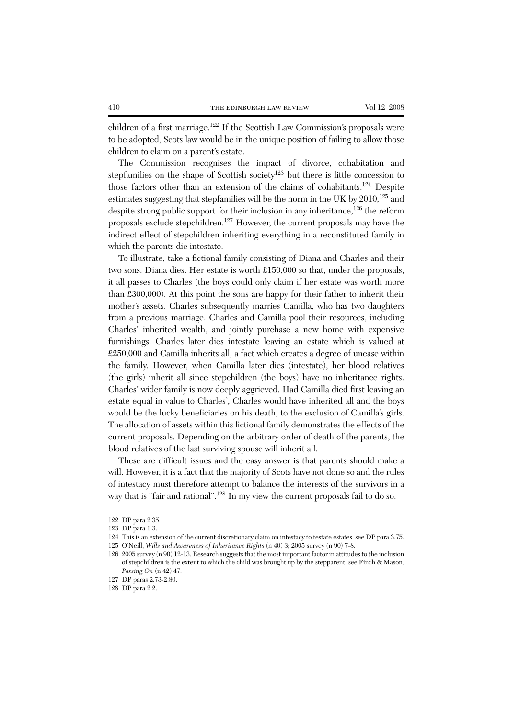children of a first marriage.<sup>122</sup> If the Scottish Law Commission's proposals were to be adopted, Scots law would be in the unique position of failing to allow those children to claim on a parent's estate.

The Commission recognises the impact of divorce, cohabitation and stepfamilies on the shape of Scottish society<sup>123</sup> but there is little concession to those factors other than an extension of the claims of cohabitants.<sup>124</sup> Despite estimates suggesting that stepfamilies will be the norm in the UK by  $2010$ ,  $125$  and despite strong public support for their inclusion in any inheritance,<sup>126</sup> the reform proposals exclude stepchildren.<sup>127</sup> However, the current proposals may have the indirect effect of stepchildren inheriting everything in a reconstituted family in which the parents die intestate.

To illustrate, take a fictional family consisting of Diana and Charles and their two sons. Diana dies. Her estate is worth £150,000 so that, under the proposals, it all passes to Charles (the boys could only claim if her estate was worth more than £300,000). At this point the sons are happy for their father to inherit their mother's assets. Charles subsequently marries Camilla, who has two daughters from a previous marriage. Charles and Camilla pool their resources, including Charles' inherited wealth, and jointly purchase a new home with expensive furnishings. Charles later dies intestate leaving an estate which is valued at £250,000 and Camilla inherits all, a fact which creates a degree of unease within the family. However, when Camilla later dies (intestate), her blood relatives (the girls) inherit all since stepchildren (the boys) have no inheritance rights. Charles' wider family is now deeply aggrieved. Had Camilla died first leaving an estate equal in value to Charles', Charles would have inherited all and the boys would be the lucky beneficiaries on his death, to the exclusion of Camilla's girls. The allocation of assets within this fictional family demonstrates the effects of the current proposals. Depending on the arbitrary order of death of the parents, the blood relatives of the last surviving spouse will inherit all.

These are difficult issues and the easy answer is that parents should make a will. However, it is a fact that the majority of Scots have not done so and the rules of intestacy must therefore attempt to balance the interests of the survivors in a way that is "fair and rational".<sup>128</sup> In my view the current proposals fail to do so.

125 O'Neill, *Wills and Awareness of Inheritance Rights* (n 40) 3; 2005 survey (n 90) 7-8.

<sup>122</sup> DP para 2.35.

<sup>123</sup> DP para 1.3.

<sup>124</sup> This is an extension of the current discretionary claim on intestacy to testate estates: see DP para 3.75.

<sup>126 2005</sup> survey (n 90) 12-13. Research suggests that the most important factor in attitudes to the inclusion of stepchildren is the extent to which the child was brought up by the stepparent: see Finch & Mason, *Passing On* (n 42) 47.

<sup>127</sup> DP paras 2.73-2.80.

<sup>128</sup> DP para 2.2.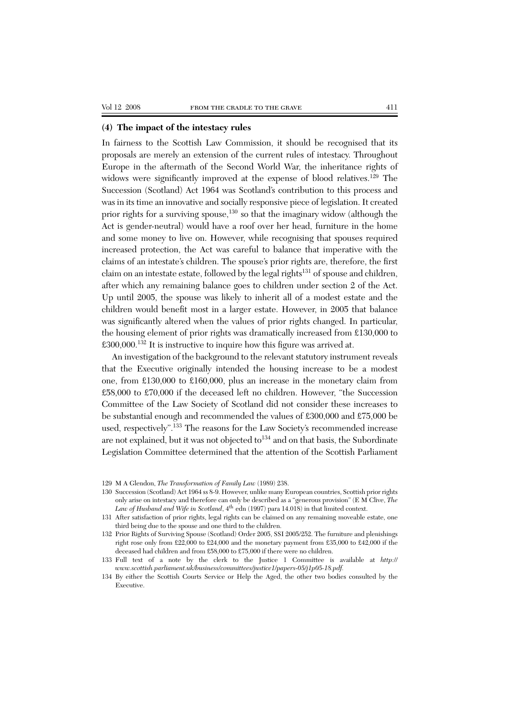# **(4) The impact of the intestacy rules**

In fairness to the Scottish Law Commission, it should be recognised that its proposals are merely an extension of the current rules of intestacy. Throughout Europe in the aftermath of the Second World War, the inheritance rights of widows were significantly improved at the expense of blood relatives.<sup>129</sup> The Succession (Scotland) Act 1964 was Scotland's contribution to this process and was in its time an innovative and socially responsive piece of legislation. It created prior rights for a surviving spouse,<sup>130</sup> so that the imaginary widow (although the Act is gender-neutral) would have a roof over her head, furniture in the home and some money to live on. However, while recognising that spouses required increased protection, the Act was careful to balance that imperative with the claims of an intestate's children. The spouse's prior rights are, therefore, the first claim on an intestate estate, followed by the legal rights<sup>131</sup> of spouse and children, after which any remaining balance goes to children under section 2 of the Act. Up until 2005, the spouse was likely to inherit all of a modest estate and the children would benefit most in a larger estate. However, in 2005 that balance was significantly altered when the values of prior rights changed. In particular, the housing element of prior rights was dramatically increased from £130,000 to £300,000.132 It is instructive to inquire how this figure was arrived at.

An investigation of the background to the relevant statutory instrument reveals that the Executive originally intended the housing increase to be a modest one, from £130,000 to £160,000, plus an increase in the monetary claim from £58,000 to £70,000 if the deceased left no children. However, "the Succession Committee of the Law Society of Scotland did not consider these increases to be substantial enough and recommended the values of £300,000 and £75,000 be used, respectively".<sup>133</sup> The reasons for the Law Society's recommended increase are not explained, but it was not objected to<sup>134</sup> and on that basis, the Subordinate Legislation Committee determined that the attention of the Scottish Parliament

- 130 Succession (Scotland) Act 1964 ss 8-9. However, unlike many European countries, Scottish prior rights only arise on intestacy and therefore can only be described as a "generous provision" (E M Clive, *The* Law of Husband and Wife in Scotland, 4<sup>th</sup> edn (1997) para 14.018) in that limited context.
- 131 After satisfaction of prior rights, legal rights can be claimed on any remaining moveable estate, one third being due to the spouse and one third to the children.
- 132 Prior Rights of Surviving Spouse (Scotland) Order 2005, SSI 2005/252. The furniture and plenishings right rose only from £22,000 to £24,000 and the monetary payment from £35,000 to £42,000 if the deceased had children and from £58,000 to £75,000 if there were no children.
- 133 Full text of a note by the clerk to the Justice 1 Committee is available at *http:// www.scottish.parliament.uk/business/committees/justice1/papers-05/j1p05-18.pdf.*
- 134 By either the Scottish Courts Service or Help the Aged, the other two bodies consulted by the Executive.

<sup>129</sup> M A Glendon, *The Transformation of Family Law* (1989) 238.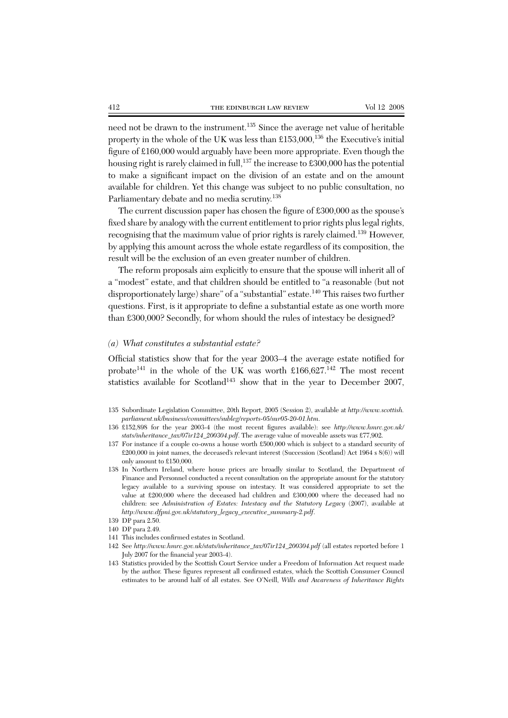need not be drawn to the instrument.<sup>135</sup> Since the average net value of heritable property in the whole of the UK was less than £153,000,<sup>136</sup> the Executive's initial figure of £160,000 would arguably have been more appropriate. Even though the housing right is rarely claimed in full,  $^{137}$  the increase to £300,000 has the potential to make a significant impact on the division of an estate and on the amount available for children. Yet this change was subject to no public consultation, no Parliamentary debate and no media scrutiny.<sup>138</sup>

The current discussion paper has chosen the figure of £300,000 as the spouse's fixed share by analogy with the current entitlement to prior rights plus legal rights, recognising that the maximum value of prior rights is rarely claimed.<sup>139</sup> However, by applying this amount across the whole estate regardless of its composition, the result will be the exclusion of an even greater number of children.

The reform proposals aim explicitly to ensure that the spouse will inherit all of a "modest" estate, and that children should be entitled to "a reasonable (but not disproportionately large) share" of a "substantial" estate.<sup>140</sup> This raises two further questions. First, is it appropriate to define a substantial estate as one worth more than £300,000? Secondly, for whom should the rules of intestacy be designed?

# *(a) What constitutes a substantial estate?*

Official statistics show that for the year 2003–4 the average estate notified for probate<sup>141</sup> in the whole of the UK was worth £166,627.<sup>142</sup> The most recent statistics available for Scotland<sup>143</sup> show that in the year to December 2007,

- 135 Subordinate Legislation Committee, 20th Report, 2005 (Session 2), available at *http://www.scottish. parliament.uk/business/committees/subleg/reports-05/sur05-20-01.htm*.
- 136 £152,898 for the year 2003-4 (the most recent figures available): see *http://www.hmrc.gov.uk/ stats/inheritance\_tax/07ir124\_200304.pdf*. The average value of moveable assets was £77,902.
- 137 For instance if a couple co-owns a house worth £500,000 which is subject to a standard security of £200,000 in joint names, the deceased's relevant interest (Succession (Scotland) Act 1964 s 8(6)) will only amount to £150,000.
- 138 In Northern Ireland, where house prices are broadly similar to Scotland, the Department of Finance and Personnel conducted a recent consultation on the appropriate amount for the statutory legacy available to a surviving spouse on intestacy. It was considered appropriate to set the value at £200,000 where the deceased had children and £300,000 where the deceased had no children: see *Administration of Estates: Intestacy and the Statutory Legacy* (2007), available at *http://www.dfpni.gov.uk/statutory\_legacy\_executive\_summary-2.pdf*.
- 139 DP para 2.50.
- 140 DP para 2.49.
- 141 This includes confirmed estates in Scotland.
- 142 See *http://www.hmrc.gov.uk/stats/inheritance\_tax/07ir124\_200304.pdf* (all estates reported before 1 July 2007 for the financial year 2003-4).
- 143 Statistics provided by the Scottish Court Service under a Freedom of Information Act request made by the author. These figures represent all confirmed estates, which the Scottish Consumer Council estimates to be around half of all estates. See O'Neill, *Wills and Awareness of Inheritance Rights*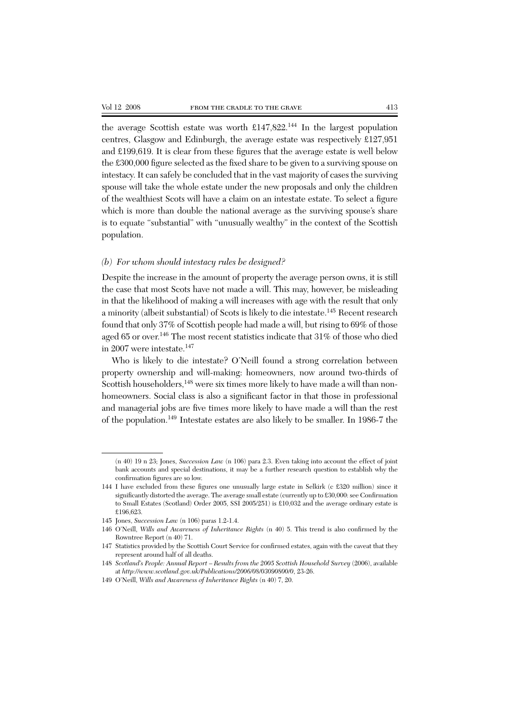the average Scottish estate was worth  $\pounds$ 147,822.<sup>144</sup> In the largest population centres, Glasgow and Edinburgh, the average estate was respectively £127,951 and £199,619. It is clear from these figures that the average estate is well below the £300,000 figure selected as the fixed share to be given to a surviving spouse on intestacy. It can safely be concluded that in the vast majority of cases the surviving spouse will take the whole estate under the new proposals and only the children of the wealthiest Scots will have a claim on an intestate estate. To select a figure which is more than double the national average as the surviving spouse's share is to equate "substantial" with "unusually wealthy" in the context of the Scottish population.

#### *(b) For whom should intestacy rules be designed?*

Despite the increase in the amount of property the average person owns, it is still the case that most Scots have not made a will. This may, however, be misleading in that the likelihood of making a will increases with age with the result that only a minority (albeit substantial) of Scots is likely to die intestate.<sup>145</sup> Recent research found that only 37% of Scottish people had made a will, but rising to 69% of those aged 65 or over.<sup>146</sup> The most recent statistics indicate that 31% of those who died in  $2007$  were intestate.<sup>147</sup>

Who is likely to die intestate? O'Neill found a strong correlation between property ownership and will-making: homeowners, now around two-thirds of Scottish householders,<sup>148</sup> were six times more likely to have made a will than nonhomeowners. Social class is also a significant factor in that those in professional and managerial jobs are five times more likely to have made a will than the rest of the population.<sup>149</sup> Intestate estates are also likely to be smaller. In 1986-7 the

<sup>(</sup>n 40) 19 n 23; Jones, *Succession Law* (n 106) para 2.3. Even taking into account the effect of joint bank accounts and special destinations, it may be a further research question to establish why the confirmation figures are so low.

<sup>144</sup> I have excluded from these figures one unusually large estate in Selkirk (c £320 million) since it significantly distorted the average. The average small estate (currently up to £30,000: see Confirmation to Small Estates (Scotland) Order 2005, SSI 2005/251) is £10,032 and the average ordinary estate is £196,623

<sup>145</sup> Jones, *Succession Law* (n 106) paras 1.2-1.4.

<sup>146</sup> O'Neill, *Wills and Awareness of Inheritance Rights* (n 40) 5. This trend is also confirmed by the Rowntree Report (n 40) 71.

<sup>147</sup> Statistics provided by the Scottish Court Service for confirmed estates, again with the caveat that they represent around half of all deaths.

<sup>148</sup> *Scotland's People: Annual Report – Results from the 2005 Scottish Household Survey* (2006), available at *http://www.scotland.gov.uk/Publications/2006/08/03090800/0*, 23-26.

<sup>149</sup> O'Neill, *Wills and Awareness of Inheritance Rights* (n 40) 7, 20.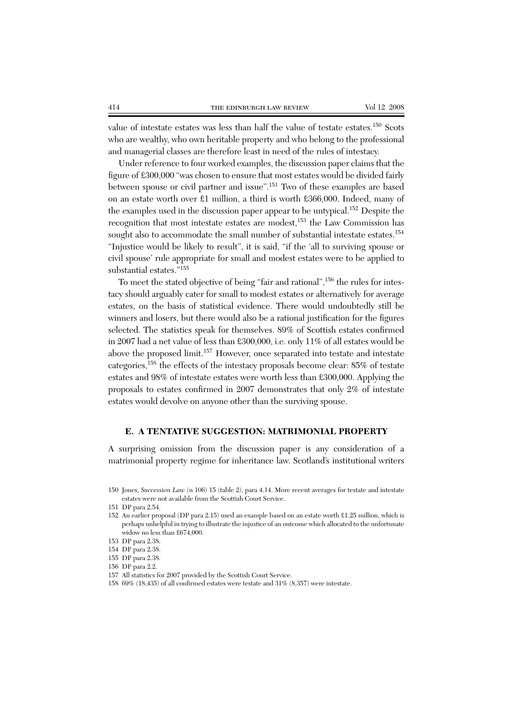value of intestate estates was less than half the value of testate estates.<sup>150</sup> Scots who are wealthy, who own heritable property and who belong to the professional and managerial classes are therefore least in need of the rules of intestacy.

Under reference to four worked examples, the discussion paper claims that the figure of £300,000 "was chosen to ensure that most estates would be divided fairly between spouse or civil partner and issue".<sup>151</sup> Two of these examples are based on an estate worth over £1 million, a third is worth £366,000. Indeed, many of the examples used in the discussion paper appear to be untypical.<sup>152</sup> Despite the recognition that most intestate estates are modest,<sup>153</sup> the Law Commission has sought also to accommodate the small number of substantial intestate estates.<sup>154</sup> "Injustice would be likely to result", it is said, "if the 'all to surviving spouse or civil spouse' rule appropriate for small and modest estates were to be applied to substantial estates."155

To meet the stated objective of being "fair and rational",<sup>156</sup> the rules for intestacy should arguably cater for small to modest estates or alternatively for average estates, on the basis of statistical evidence. There would undoubtedly still be winners and losers, but there would also be a rational justification for the figures selected. The statistics speak for themselves. 89% of Scottish estates confirmed in 2007 had a net value of less than £300,000, i.e. only 11% of all estates would be above the proposed limit.<sup>157</sup> However, once separated into testate and intestate categories,<sup>158</sup> the effects of the intestacy proposals become clear: 85% of testate estates and 98% of intestate estates were worth less than £300,000. Applying the proposals to estates confirmed in 2007 demonstrates that only 2% of intestate estates would devolve on anyone other than the surviving spouse.

# **E. A TENTATIVE SUGGESTION: MATRIMONIAL PROPERTY**

A surprising omission from the discussion paper is any consideration of a matrimonial property regime for inheritance law. Scotland's institutional writers

<sup>150</sup> Jones, *Succession Law* (n 106) 15 (table 2), para 4.14. More recent averages for testate and intestate estates were not available from the Scottish Court Service.

<sup>151</sup> DP para 2.54.

<sup>152</sup> An earlier proposal (DP para 2.15) used an example based on an estate worth £1.25 million, which is perhaps unhelpful in trying to illustrate the injustice of an outcome which allocated to the unfortunate widow no less than £674,000.

<sup>153</sup> DP para 2.38.

<sup>154</sup> DP para 2.38.

<sup>155</sup> DP para 2.38.

<sup>156</sup> DP para 2.2.

<sup>157</sup> All statistics for 2007 provided by the Scottish Court Service.

<sup>158 69% (18,435)</sup> of all confirmed estates were testate and 31% (8,357) were intestate.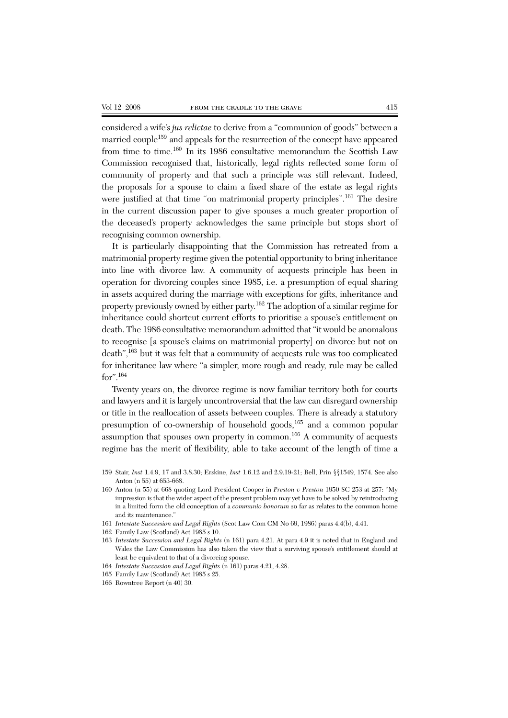considered a wife's *jus relictae* to derive from a "communion of goods" between a married couple<sup>159</sup> and appeals for the resurrection of the concept have appeared from time to time.<sup>160</sup> In its 1986 consultative memorandum the Scottish Law Commission recognised that, historically, legal rights reflected some form of community of property and that such a principle was still relevant. Indeed, the proposals for a spouse to claim a fixed share of the estate as legal rights were justified at that time "on matrimonial property principles".<sup>161</sup> The desire in the current discussion paper to give spouses a much greater proportion of the deceased's property acknowledges the same principle but stops short of recognising common ownership.

It is particularly disappointing that the Commission has retreated from a matrimonial property regime given the potential opportunity to bring inheritance into line with divorce law. A community of acquests principle has been in operation for divorcing couples since 1985, i.e. a presumption of equal sharing in assets acquired during the marriage with exceptions for gifts, inheritance and property previously owned by either party.<sup>162</sup> The adoption of a similar regime for inheritance could shortcut current efforts to prioritise a spouse's entitlement on death. The 1986 consultative memorandum admitted that "it would be anomalous to recognise [a spouse's claims on matrimonial property] on divorce but not on death",<sup>163</sup> but it was felt that a community of acquests rule was too complicated for inheritance law where "a simpler, more rough and ready, rule may be called for".<sup>164</sup>

Twenty years on, the divorce regime is now familiar territory both for courts and lawyers and it is largely uncontroversial that the law can disregard ownership or title in the reallocation of assets between couples. There is already a statutory presumption of co-ownership of household goods,<sup>165</sup> and a common popular assumption that spouses own property in common.166 A community of acquests regime has the merit of flexibility, able to take account of the length of time a

- 160 Anton (n 55) at 668 quoting Lord President Cooper in *Preston v Preston* 1950 SC 253 at 257: "My impression is that the wider aspect of the present problem may yet have to be solved by reintroducing in a limited form the old conception of a *communio bonorum* so far as relates to the common home and its maintenance."
- 161 *Intestate Succession and Legal Rights* (Scot Law Com CM No 69, 1986) paras 4.4(b), 4.41.

- 163 *Intestate Succession and Legal Rights* (n 161) para 4.21. At para 4.9 it is noted that in England and Wales the Law Commission has also taken the view that a surviving spouse's entitlement should at least be equivalent to that of a divorcing spouse.
- 164 *Intestate Succession and Legal Rights* (n 161) paras 4.21, 4.28.
- 165 Family Law (Scotland) Act 1985 s 25.
- 166 Rowntree Report (n 40) 30.

<sup>159</sup> Stair, *Inst* 1.4.9, 17 and 3.8.30; Erskine, *Inst* 1.6.12 and 2.9.19-21; Bell, Prin §§1549, 1574. See also Anton (n 55) at 653-668.

<sup>162</sup> Family Law (Scotland) Act 1985 s 10.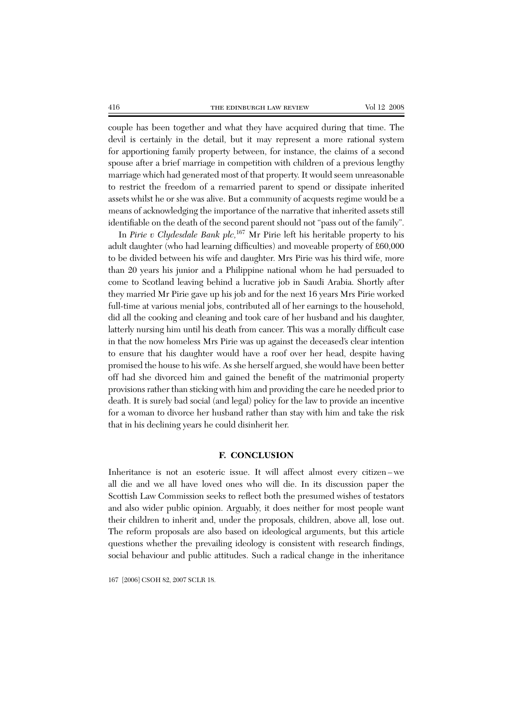couple has been together and what they have acquired during that time. The devil is certainly in the detail, but it may represent a more rational system for apportioning family property between, for instance, the claims of a second spouse after a brief marriage in competition with children of a previous lengthy marriage which had generated most of that property. It would seem unreasonable to restrict the freedom of a remarried parent to spend or dissipate inherited assets whilst he or she was alive. But a community of acquests regime would be a means of acknowledging the importance of the narrative that inherited assets still identifiable on the death of the second parent should not "pass out of the family".

In *Pirie v Clydesdale Bank plc,*<sup>167</sup> Mr Pirie left his heritable property to his adult daughter (who had learning difficulties) and moveable property of £60,000 to be divided between his wife and daughter. Mrs Pirie was his third wife, more than 20 years his junior and a Philippine national whom he had persuaded to come to Scotland leaving behind a lucrative job in Saudi Arabia. Shortly after they married Mr Pirie gave up his job and for the next 16 years Mrs Pirie worked full-time at various menial jobs, contributed all of her earnings to the household, did all the cooking and cleaning and took care of her husband and his daughter, latterly nursing him until his death from cancer. This was a morally difficult case in that the now homeless Mrs Pirie was up against the deceased's clear intention to ensure that his daughter would have a roof over her head, despite having promised the house to his wife. As she herself argued, she would have been better off had she divorced him and gained the benefit of the matrimonial property provisions rather than sticking with him and providing the care he needed prior to death. It is surely bad social (and legal) policy for the law to provide an incentive for a woman to divorce her husband rather than stay with him and take the risk that in his declining years he could disinherit her.

# **F. CONCLUSION**

Inheritance is not an esoteric issue. It will affect almost every citizen – we all die and we all have loved ones who will die. In its discussion paper the Scottish Law Commission seeks to reflect both the presumed wishes of testators and also wider public opinion. Arguably, it does neither for most people want their children to inherit and, under the proposals, children, above all, lose out. The reform proposals are also based on ideological arguments, but this article questions whether the prevailing ideology is consistent with research findings, social behaviour and public attitudes. Such a radical change in the inheritance

167 [2006] CSOH 82, 2007 SCLR 18.